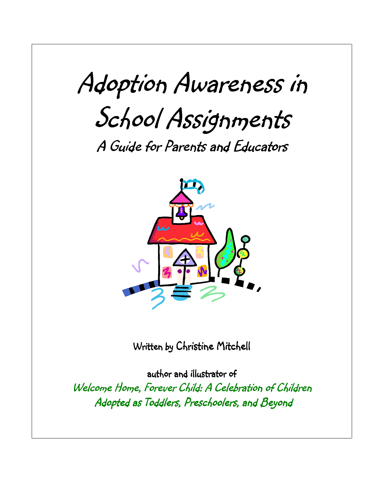# Adoption Awareness in School Assignments

A Guide for Parents and Educators



Written by Christine Mitchell

author and illustrator of Welcome Home, Forever Child: A Celebration of Children Adopted as Toddlers, Preschoolers, and Beyond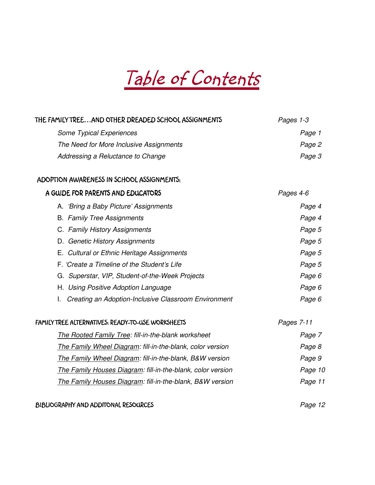# Table of Contents

| THE FAMILY TREE AND OTHER DREADED SCHOOL ASSIGNMENTS        | Pages 1-3  |
|-------------------------------------------------------------|------------|
| Some Typical Experiences                                    | Page 1     |
| The Need for More Inclusive Assignments                     | Page 2     |
| Addressing a Reluctance to Change                           | Page 3     |
| ADOPTION AWARENESS IN SCHOOL ASSIGNMENTS:                   |            |
| A GUIDE FOR PARENTS AND EDUCATORS                           | Pages 4-6  |
| A. 'Bring a Baby Picture' Assignments                       | Page 4     |
| <b>B.</b> Family Tree Assignments                           | Page 4     |
| C. Family History Assignments                               | Page 5     |
| D. Genetic History Assignments                              | Page 5     |
| E. Cultural or Ethnic Heritage Assignments                  | Page 5     |
| F. 'Create a Timeline of the Student's Life                 | Page 5     |
| G. Superstar, VIP, Student-of-the-Week Projects             | Page 6     |
| H. Using Positive Adoption Language                         | Page 6     |
| Creating an Adoption-Inclusive Classroom Environment<br>I.  | Page 6     |
| FAMILY TREE ALTERNATIVES: READY-TO-USE WORKSHEETS           | Pages 7-11 |
| <b>The Rooted Family Tree: fill-in-the-blank worksheet</b>  | Page 7     |
| The Family Wheel Diagram: fill-in-the-blank, color version  | Page 8     |
| The Family Wheel Diagram: fill-in-the-blank, B&W version    | Page 9     |
| The Family Houses Diagram: fill-in-the-blank, color version | Page 10    |
| The Family Houses Diagram: fill-in-the-blank, B&W version   | Page 11    |
|                                                             |            |

#### BIBLIOGRAPHY AND ADDITONAL RESOURCES BIBLIOGRAPHY AND ADDITONAL RESOURCES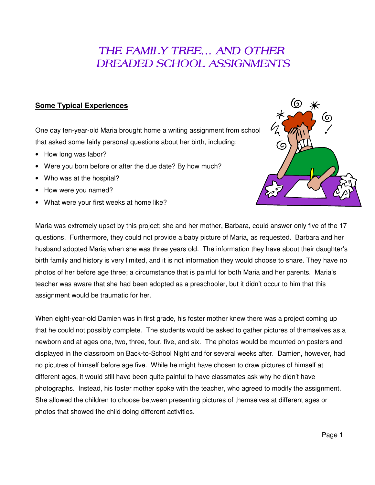### THE FAMILY TREE... AND OTHER DREADED SCHOOL ASSIGNMENTS

#### **Some Typical Experiences**

One day ten-year-old Maria brought home a writing assignment from school that asked some fairly personal questions about her birth, including:

- How long was labor?
- Were you born before or after the due date? By how much?
- Who was at the hospital?
- How were you named?
- What were your first weeks at home like?



Maria was extremely upset by this project; she and her mother, Barbara, could answer only five of the 17 questions. Furthermore, they could not provide a baby picture of Maria, as requested. Barbara and her husband adopted Maria when she was three years old. The information they have about their daughter's birth family and history is very limited, and it is not information they would choose to share. They have no photos of her before age three; a circumstance that is painful for both Maria and her parents. Maria's teacher was aware that she had been adopted as a preschooler, but it didn't occur to him that this assignment would be traumatic for her.

When eight-year-old Damien was in first grade, his foster mother knew there was a project coming up that he could not possibly complete. The students would be asked to gather pictures of themselves as a newborn and at ages one, two, three, four, five, and six. The photos would be mounted on posters and displayed in the classroom on Back-to-School Night and for several weeks after. Damien, however, had no picutres of himself before age five. While he might have chosen to draw pictures of himself at different ages, it would still have been quite painful to have classmates ask why he didn't have photographs. Instead, his foster mother spoke with the teacher, who agreed to modify the assignment. She allowed the children to choose between presenting pictures of themselves at different ages or photos that showed the child doing different activities.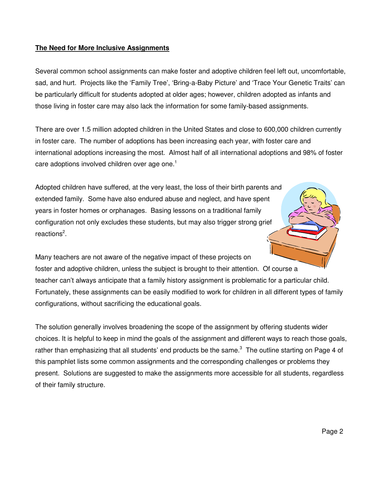#### **The Need for More Inclusive Assignments**

Several common school assignments can make foster and adoptive children feel left out, uncomfortable, sad, and hurt. Projects like the 'Family Tree', 'Bring-a-Baby Picture' and 'Trace Your Genetic Traits' can be particularly difficult for students adopted at older ages; however, children adopted as infants and those living in foster care may also lack the information for some family-based assignments.

There are over 1.5 million adopted children in the United States and close to 600,000 children currently in foster care. The number of adoptions has been increasing each year, with foster care and international adoptions increasing the most. Almost half of all international adoptions and 98% of foster care adoptions involved children over age one. $^1$ 

Adopted children have suffered, at the very least, the loss of their birth parents and extended family. Some have also endured abuse and neglect, and have spent years in foster homes or orphanages. Basing lessons on a traditional family configuration not only excludes these students, but may also trigger strong grief reactions<sup>2</sup>.

Many teachers are not aware of the negative impact of these projects on foster and adoptive children, unless the subject is brought to their attention. Of course a teacher can't always anticipate that a family history assignment is problematic for a particular child. Fortunately, these assignments can be easily modified to work for children in all different types of family configurations, without sacrificing the educational goals.

The solution generally involves broadening the scope of the assignment by offering students wider choices. It is helpful to keep in mind the goals of the assignment and different ways to reach those goals, rather than emphasizing that all students' end products be the same. $^3$  The outline starting on Page 4 of this pamphlet lists some common assignments and the corresponding challenges or problems they present. Solutions are suggested to make the assignments more accessible for all students, regardless of their family structure.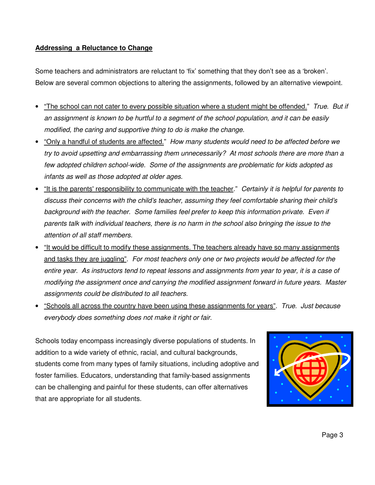#### **Addressing a Reluctance to Change**

Some teachers and administrators are reluctant to 'fix' something that they don't see as a 'broken'. Below are several common objections to altering the assignments, followed by an alternative viewpoint.

- "The school can not cater to every possible situation where a student might be offended." True. But if an assignment is known to be hurtful to a segment of the school population, and it can be easily modified, the caring and supportive thing to do is make the change.
- "Only a handful of students are affected." How many students would need to be affected before we try to avoid upsetting and embarrassing them unnecessarily? At most schools there are more than a few adopted children school-wide. Some of the assignments are problematic for kids adopted as infants as well as those adopted at older ages.
- "It is the parents' responsibility to communicate with the teacher." Certainly it is helpful for parents to discuss their concerns with the child's teacher, assuming they feel comfortable sharing their child's background with the teacher. Some families feel prefer to keep this information private. Even if parents talk with individual teachers, there is no harm in the school also bringing the issue to the attention of all staff members.
- "It would be difficult to modify these assignments. The teachers already have so many assignments and tasks they are juggling". For most teachers only one or two projects would be affected for the entire year. As instructors tend to repeat lessons and assignments from year to year, it is a case of modifying the assignment once and carrying the modified assignment forward in future years. Master assignments could be distributed to all teachers.
- "Schools all across the country have been using these assignments for years". True. Just because everybody does something does not make it right or fair.

Schools today encompass increasingly diverse populations of students. In addition to a wide variety of ethnic, racial, and cultural backgrounds, students come from many types of family situations, including adoptive and foster families. Educators, understanding that family-based assignments can be challenging and painful for these students, can offer alternatives that are appropriate for all students.

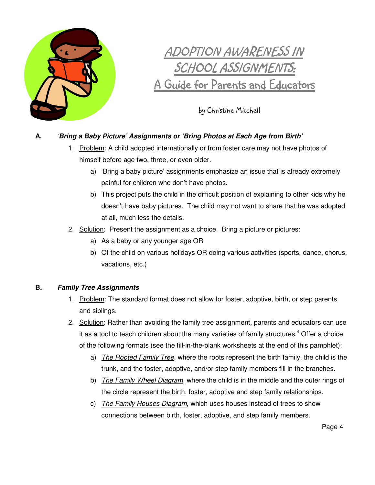

## <u>ADOPTION AWARENESS IN</u> SCHOOL ASSIGNMENTS: A Guide for Parents and Educators

by Christine Mitchell

#### **A.** '**Bring a Baby Picture' Assignments or 'Bring Photos at Each Age from Birth'**

- 1. Problem: A child adopted internationally or from foster care may not have photos of himself before age two, three, or even older.
	- a) 'Bring a baby picture' assignments emphasize an issue that is already extremely painful for children who don't have photos.
	- b) This project puts the child in the difficult position of explaining to other kids why he doesn't have baby pictures. The child may not want to share that he was adopted at all, much less the details.
- 2. Solution: Present the assignment as a choice. Bring a picture or pictures:
	- a) As a baby or any younger age OR
	- b) Of the child on various holidays OR doing various activities (sports, dance, chorus, vacations, etc.)

#### **B. Family Tree Assignments**

- 1. Problem: The standard format does not allow for foster, adoptive, birth, or step parents and siblings.
- 2. Solution: Rather than avoiding the family tree assignment, parents and educators can use it as a tool to teach children about the many varieties of family structures.<sup>4</sup> Offer a choice of the following formats (see the fill-in-the-blank worksheets at the end of this pamphlet):
	- a) The Rooted Family Tree, where the roots represent the birth family, the child is the trunk, and the foster, adoptive, and/or step family members fill in the branches.
	- b) The Family Wheel Diagram, where the child is in the middle and the outer rings of the circle represent the birth, foster, adoptive and step family relationships.
	- c) The Family Houses Diagram, which uses houses instead of trees to show connections between birth, foster, adoptive, and step family members.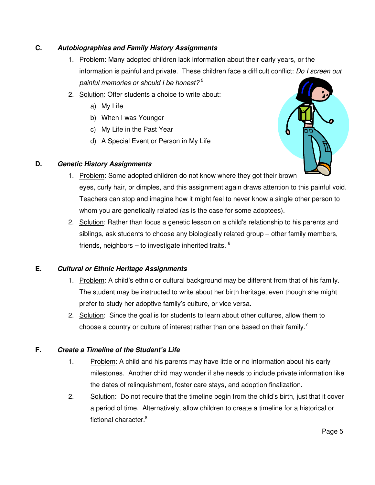#### **C. Autobiographies and Family History Assignments**

- 1. Problem: Many adopted children lack information about their early years, or the information is painful and private. These children face a difficult conflict: Do I screen out painful memories or should I be honest? $5$
- 2. Solution: Offer students a choice to write about:
	- a) My Life
	- b) When I was Younger
	- c) My Life in the Past Year
	- d) A Special Event or Person in My Life

#### **D. Genetic History Assignments**



- 1. Problem: Some adopted children do not know where they got their brown eyes, curly hair, or dimples, and this assignment again draws attention to this painful void. Teachers can stop and imagine how it might feel to never know a single other person to whom you are genetically related (as is the case for some adoptees).
- 2. Solution: Rather than focus a genetic lesson on a child's relationship to his parents and siblings, ask students to choose any biologically related group – other family members, friends, neighbors – to investigate inherited traits.  $6$

#### **E. Cultural or Ethnic Heritage Assignments**

- 1. Problem: A child's ethnic or cultural background may be different from that of his family. The student may be instructed to write about her birth heritage, even though she might prefer to study her adoptive family's culture, or vice versa.
- 2. Solution: Since the goal is for students to learn about other cultures, allow them to choose a country or culture of interest rather than one based on their family.<sup>7</sup>

#### **F. Create a Timeline of the Student's Life**

- 1. Problem: A child and his parents may have little or no information about his early milestones. Another child may wonder if she needs to include private information like the dates of relinquishment, foster care stays, and adoption finalization.
- 2. Solution: Do not require that the timeline begin from the child's birth, just that it cover a period of time. Alternatively, allow children to create a timeline for a historical or fictional character.<sup>8</sup>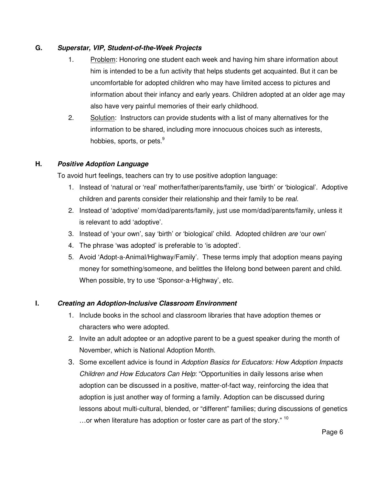#### **G. Superstar, VIP, Student-of-the-Week Projects**

- 1. Problem: Honoring one student each week and having him share information about him is intended to be a fun activity that helps students get acquainted. But it can be uncomfortable for adopted children who may have limited access to pictures and information about their infancy and early years. Children adopted at an older age may also have very painful memories of their early childhood.
- 2. Solution: Instructors can provide students with a list of many alternatives for the information to be shared, including more innocuous choices such as interests, hobbies, sports, or pets.<sup>9</sup>

#### **H. Positive Adoption Language**

To avoid hurt feelings, teachers can try to use positive adoption language:

- 1. Instead of 'natural or 'real' mother/father/parents/family, use 'birth' or 'biological'. Adoptive children and parents consider their relationship and their family to be real.
- 2. Instead of 'adoptive' mom/dad/parents/family, just use mom/dad/parents/family, unless it is relevant to add 'adoptive'.
- 3. Instead of 'your own', say 'birth' or 'biological' child. Adopted children are 'our own'
- 4. The phrase 'was adopted' is preferable to 'is adopted'.
- 5. Avoid 'Adopt-a-Animal/Highway/Family'. These terms imply that adoption means paying money for something/someone, and belittles the lifelong bond between parent and child. When possible, try to use 'Sponsor-a-Highway', etc.

#### **I. Creating an Adoption-Inclusive Classroom Environment**

- 1. Include books in the school and classroom libraries that have adoption themes or characters who were adopted.
- 2. Invite an adult adoptee or an adoptive parent to be a guest speaker during the month of November, which is National Adoption Month.
- 3. Some excellent advice is found in Adoption Basics for Educators: How Adoption Impacts Children and How Educators Can Help: "Opportunities in daily lessons arise when adoption can be discussed in a positive, matter-of-fact way, reinforcing the idea that adoption is just another way of forming a family. Adoption can be discussed during lessons about multi-cultural, blended, or "different" families; during discussions of genetics …or when literature has adoption or foster care as part of the story." 10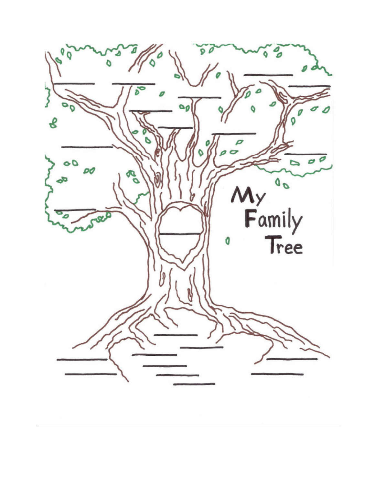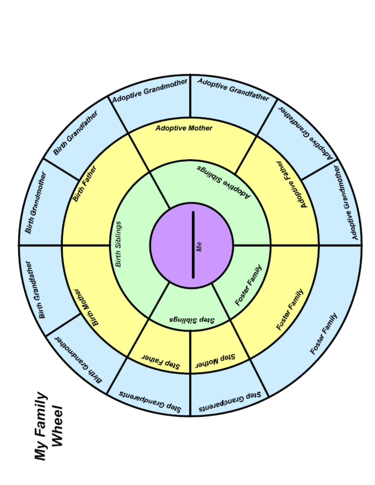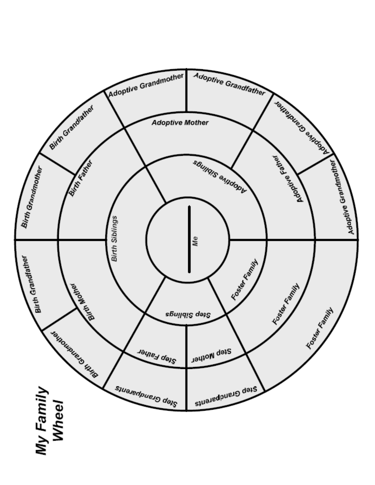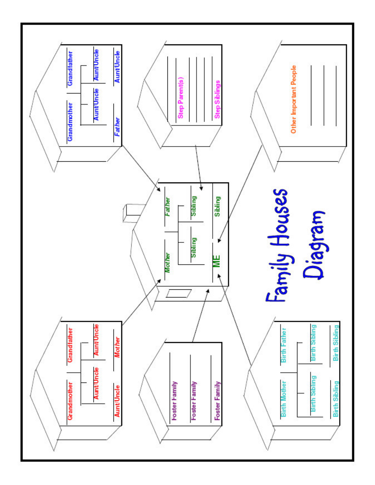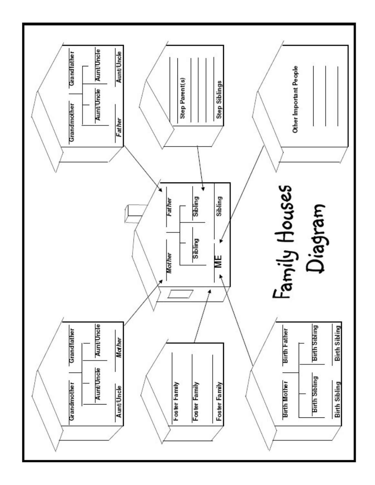![](_page_12_Figure_0.jpeg)